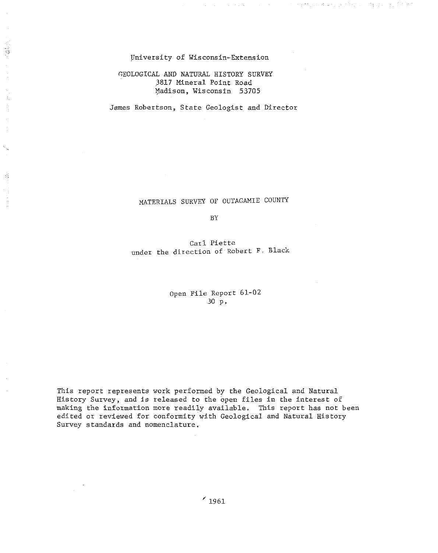#### University of Wisconsin-Extension

÷,

 $\bar{t}_1$ Ę

 $\frac{1}{\sqrt{2}}$ 

医腹膜炎

 $\gamma$  and  $\alpha$  .

metals complex have a transmitted

## GEOLOGICAL AND NATURAL HISTORY SURVEY 3817 Mineral Point Road Madison, Wisconsin 53705

James Robertson, State Geologist and Director

MATERIALS SURVEY OF OUTAGAMIE COUNTY

BY

Carl Piette under the direction of Robert F. Black

> Open File Report 61-02 .30 p.

This report represents work performed by the Geological and Natural History Survey, and *is* released to the open files in the interest of making the information more readily available. This report has not been edited or reviewed for conformity with Geological and Natural History Survey standards and nomenclature.

*r 1961*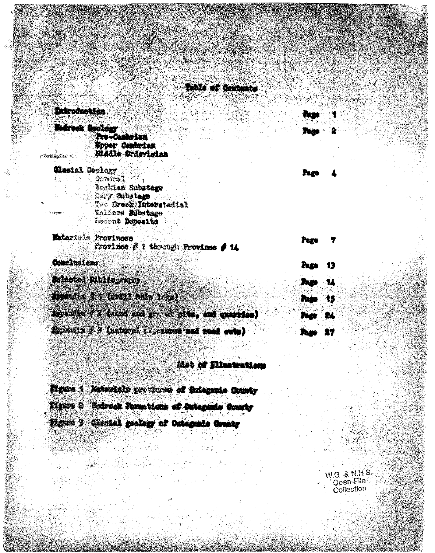# **Balls of Griberts**

#### **Independent from**

| <b>Indreal Geology</b> | <b>Programmation</b>                              |             |              |
|------------------------|---------------------------------------------------|-------------|--------------|
|                        | Upper Cantrian<br>Kiddle Ordevielan               |             |              |
|                        |                                                   |             |              |
| Clasici Geology        |                                                   |             |              |
|                        | General<br>Moklan Substage                        |             |              |
|                        | Cerry Substage                                    |             |              |
|                        | The Creek Interstailal                            |             |              |
| - 40 经金融服务             | Valders Substage                                  |             |              |
|                        | Hecont Doposits                                   |             |              |
| Materials Provinces    |                                                   |             |              |
|                        | Frovince # 1 through Province # 14                | Page        |              |
|                        |                                                   |             |              |
| Conclusions            |                                                   | Pers.       | 13           |
|                        |                                                   |             |              |
|                        | <b>Solected Bibliography</b>                      | <b>They</b> | $\mathbf{M}$ |
|                        | The Manual Part (1953)                            |             |              |
|                        |                                                   | Page 15     |              |
|                        | Appendix # 2 (since and general general painting) | App 24      |              |
|                        |                                                   |             |              |
|                        | Appendix # 3 (natural exposures and read cute)    | Twe         | 宮学           |

## **Jãob of Diretr**

| Eighten 4 Materials provinces of Ontagania County |  |
|---------------------------------------------------|--|
|                                                   |  |
|                                                   |  |
| Mitte 2 Mehreck Formations of Outenands County    |  |
|                                                   |  |
|                                                   |  |
| Wynte 3 Glassial geology of Octograde County      |  |
|                                                   |  |

W.G. & N.H.S.<br>Open File<br>Collection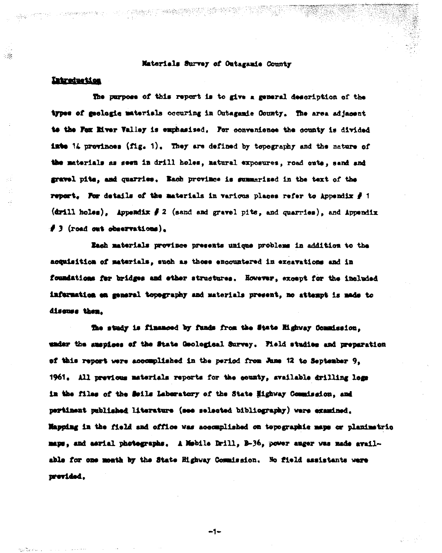## Materials Survey of Outaganie County

## Introduction

 $\mathcal{L}$ 

The purpose of this report is to give a general description of the types of geologic materials occuring in Outagamic County. The area adjacent to the Fex Miver Valley is emphasised. For convenience the county is divided into  $14$  provinces  $(f1g, 1)$ . They are defined by topography and the nature of the materials as seen in drill holes, natural exposures, road onte, sand and gravel pits, and quarries. Each province is summarized in the text of the report. For details of the materials in various places refer to Appendix  $\hat{f}$  1  $(\text{drill hole})$ . Appendix  $f$  2 (sand and gravel pits, and quarries), and Appendix  $\beta$  3 (road out observations).

Eash materials province presents unique problems in addition to the acquisition of materials, such as those encountered in excavations and in foundations for bridges and ether structures. However, except for the included information en general topography and materials present, no attempt is made to discuss then.

The study is financed by funds from the State Highway Commission. under the suspices of the State Goological Survey. Field studies and preparation of this report were accomplished in the period from Jame 12 to September 9. 1961. All previous materials reports for the county, svailable drilling logs in the files of the Soils Laberatory of the State Highway Commission, and pertinent published literature (see selected bibliography) were examined. Mapping in the field and office was accomplished on topographic maps or planimetric mans, and aarial photographs. A Mobile Drill, B-36, power auger was made available for one month by the State Highway Commission. No field assistants were previded.

 $-1-$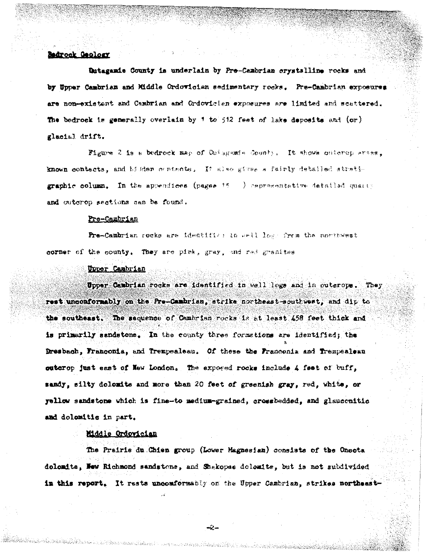#### Bedrock Geology

Dutagamie County is underlain by Pre-Cambrian crystalline rocks and by Upper Cambrian and Middle Ordovician sedimentary rocks. Pre-Cambrian exposures are non-existent and Cambrian and Ordovicien exposures are limited and scattered. The bedrock is generally overlain by 1 to 512 feet of lake deposits and (or) glacial drift.

Figure 2 is a bedrock map of Cuisgemia County. It shows onterop areas. known contacts, and hidden contacts, It also gives a fairly detailed stration graphic column. In the appendices (pages 15 ) representative detailed quarty and outcrop sections can be found.

#### Pre-Cambrian

Pre-Cambrian rocks are identifies in well logs from the northwest corner of the county. They are pick, gray, and red granites

#### Upper Cambrian

Upper Cambrian rocks are identified in well logs and in outerops. They rest unconformably on the Pre-Cambrian, strike northeast-southwest, and dip to the southeast. The sequence of Cambrian rocks is at least 458 feet thick and is primarily sandstone. In the county three formations are identified; the Dresbach, Franconia, and Trempealeau. Of these the Franconia and Trempealeau outerop just east of New London. The exposed rocks include 4 feet of buff, sandy, silty dolomits and more than 20 feet of greenish gray, red, white, or yellow sandstone which is fine-to medium-grained, crossbedded, and glaucenitic and dolomitie in part.

## Middle Ordovician

The Prairie du Chien group (Lower Magnesian) consists of the Onecta dolomits, New Richmond sandstone, and Shekopse dolomite, but is not subdivided in this report. It rests unconformably on the Upper Cambrian, strikes northeast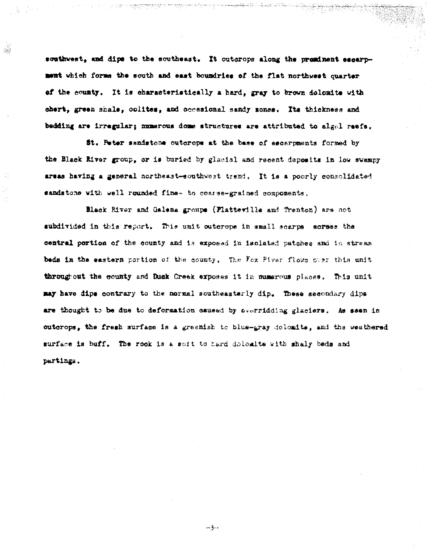southwest, and dips to the southeast. It outcrops along the preminent escarpment which forms the south and east boundries of the flat northwest quarter of the county. It is characteristically a hard, gray to brown dolomite with chert, green shale, colites, and occasional sandy sonss. Its thickness and bedding are irregular; numerous dome structures are attributed to algel reefs.

囊

St. Peter sandstone outcrops at the base of escarpments formed by the Black River group, or is buried by glacial and recent deposits in low swampy areas having a general northeast-southwest trend. It is a poorly consolidated sandstone with well rounded fine- to coarse-grained components,

Black River and Galena groups (Platteville and Trenton) are not subdivided in this report. This unit outerops in small scarpe acress the central portion of the county and is exposed in isolated patches and in strass beds in the eastern portion of the county. The Fox Piver flows over this unit throughout the county and Duck Creek exposes it in numerous places. This unit may have dips contrary to the normal southeasterly dip. These secondary dips are thought to be due to deformation caused by overridding glaciers. As seen in outcrops, the fresh surface is a greenish to blue-gray dolomite, and the weathered surface is buff. The rook is a soft to hard dolomite with shaly beds and partings.

سوهم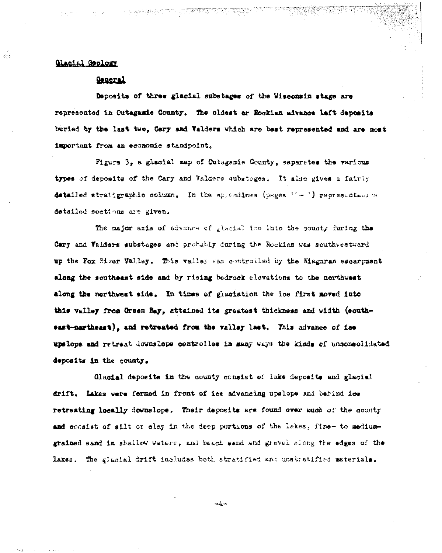## Clasial Geology

وأنبا

## General

Deposits of three glacial substages of the Wisconsin stage are represented in Outagamie County. The oldest or Rockian advance left deposits buried by the last two. Cary and Valders which are best represented and are most important from an economic standpoint.

Figure 3, a glacial map of Outagamie County, separates the various types of deposits of the Cary and Valders substages. It also gives a fairly detailed stratigraphic column. In the appendices (pages  $\{-\cdot\cdot\cdot\}$  representative detailed sections are given.

The major exis of advance of glacial ine into the county furing the Cary and Valders substages and probably during the Rockian was southwestward up the Fox Miver Valley. This valley was controlled by the Misgaran escarpment along the southeast side and by rising bedrock elevations to the northwest along the northwest side. In times of glaciation the ice first moved into this valley from Green Bay, attained its greatest thickness and width (southeast-northeart), and retreated from the valley last. This advance of ice upslope and retreat downslope controlles in many ways the kinds of unconsolidated deposits in the county.

Glacial deposits in the county consist of lake deposits and glacial drift. Lakes were formed in front of ice advancing upslope and behind ice retreating locally downslope. Their deposits are found over much of the county and consist of silt or clay in the deep portions of the lakes. fine- to mediumgrained sand in shallow waters, and beach sand and gravel slong the edges of the lakes. The glacial drift includes both stratified and unstratified materials.

 $-$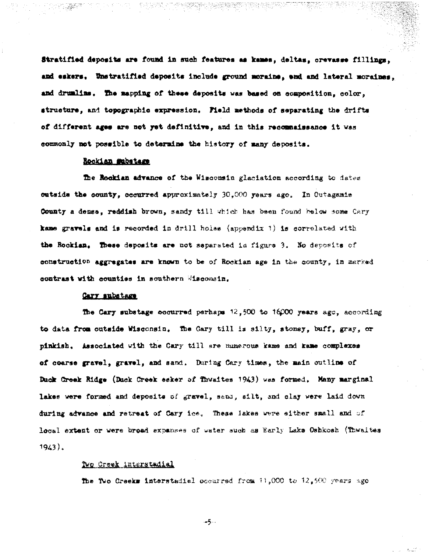Stratified deposits are found in such features as kames, deltas, orevasse fillings. and eskers, Unstratified deposits include ground moraine, end and lateral moraines, and drumlins. The mapping of these deposits was based on composition, color. structure, and topographic expression. Field methods of separating the drifts of different ages are not yet definitive, and in this recommaissance it was commonly not possible to determine the history of many deposits.

## Rockian Substage

The Rockian advance of the Wisconsin glaciation according to dates outside the county, occurred approximately 30,000 years ago. In Outagamie County a dense, reddish brown, sandy till which has been found below some Cary kame gravels and is recorded in drill holes (appendix 1) is correlated with the Rockian. These deposits are not separated in figure 3. No deposits of construction aggregates are known to be of Rockian age in the county, in marked contrast with counties in southern Misconsin.

#### Cary substage

The Cary substage occurred perhaps  $12.500$  to  $16000$  years ago. according to data from outside Wisconsin. The Gary till is silty, stoney, buff, gray, or pinkish. Associated with the Cary till are munerous kame and kame complexes of coarse gravel, gravel, and sand. During Cary times, the main outline of Duck Creek Ridge (Duck Creek seker of Thwaites 1943) was formed. Many marginal lakes were formed and deposits of gravel, same, silt, and clay were laid down during advance and retreat of Cary ice. These lakes were either small and of local extent or were broad expanses of water such as Early Lake Oshkosh (Thwaites  $1943.$ 

#### Two Creek interstadial

The Two Creeks interstadial occurred from 11,000 to 12,500 years ago

- 5. . .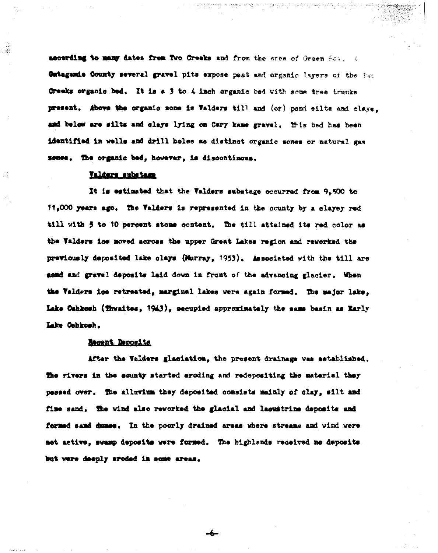ascording to many dates from Two Creeks and from the area of Green Sav. I Outagamis County several gravel pits expose peat and organic lavers of the two Creeks organic bed. It is a 3 to 4 inch organic bed with some tree trunks present. Above the organic sone is Valders till and (or) pond silts and clays. and below are silts and clays lying on Cary kame gravel. This bed has been identified in wells and drill beles as distinct organic sones or natural gas sones. The organic bed, however, is discontinous.

#### Valders substame

Ý.

It is estimated that the Valders substage occurred from 9,500 to 11,000 years ago. The Valders is represented in the county by a clayey red till with 5 to 10 percent stone content. The till attained its red color as the Valders ice moved across the upper Great Lakes region and reworked the previously deposited lake clays (Murray, 1953). Associated with the till are asad and gravel deposite laid down in front of the advancing glacier. When the Valders ice retreated, marginal lakes were again formed. The major lake, Lake Oshkosh (Thwaites, 1943), oecupied approximately the same basin as Early Lake Cehkosh.

## Becent Deposits

After the Valders glasiation, the present drainage was established. The rivers in the sounty started eroding and redepositing the material they passed over. The alluvium they deposited consists mainly of clay, silt and fine sand. The wind also reworked the glacial and lacustrine deposits and formed sand dunce. In the poorly drained areas where streams and wind were not active, swamp deposits were formed. The highlands received no deposits but were deeply eroded in some areas.

-6-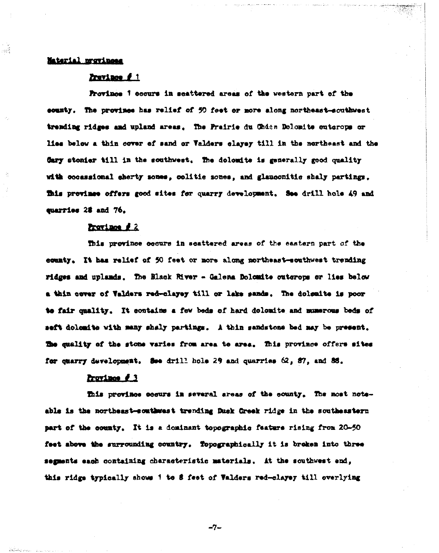## Material provinces

÷g≹

## Zravince f 1

Province 1 cocurs in scattered areas of the western part of the county. The province has relief of 50 feet or more along northeast-couthwest trending ridges and upland areas. The Prairie du Chden Dolomite enterops or lies below a thin cover of sand or Valders clayey till in the northeast and the Gary stonier till in the southwest. The dolomite is generally good quality with cocassional sherty sones, colitis sones, and glauconitis shaly partings. This province offers good sites for quarry development, See drill hole 49 and cuarries 28 and 76.

#### Province #2

This province occurs in scattered areas of the eastern part of the county. It has relief of 50 feet or more along northeast-southwest trending ridges and uplands. The Black River - Galena Dolomite outcrops or lies below a thin cover of Valders red-clayey till or lake sands. The dolemite is poor to fair quality. It contains a few beds of hard dolomite and mumerous beds of seft dolomite with many shaly partings. A thin sandstone bed may be present. The quality of the stone varies from area to area. This province offers sites for quarry development. See drill hole 29 and quarries 62, 87, and 88.

#### Province #3

This province cosurs in several areas of the sounty. The most noteable is the northeast-southwest trending Duck Greek ridge in the southeastern part of the county. It is a dominant topographic feature rising from 20-50 feet above the surrounding country. Topographically it is breken into three segments each containing characteristic materials. At the southwest end, this ridge typically shows 1 to 8 feet of Valders red-clayey till overlying

 $-7-$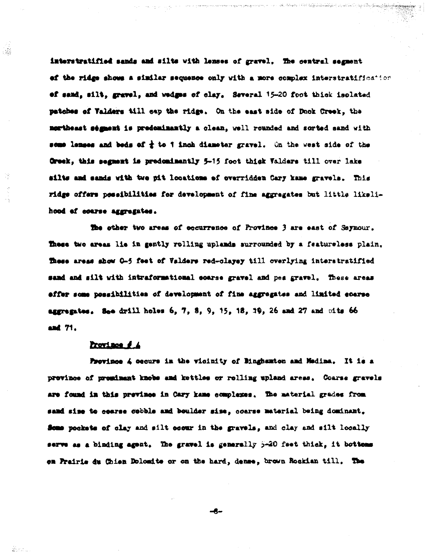interstratified sands and silts with lenses of gravel. The central segment of the ridge shows a similar sequence only with a more complex interstratification of sand, silt, gravel, and wedges of clay. Several 15-20 foot thick isolated patches of Valders till cap the ridge. On the east side of Duck Creek, the mortheast ségment is predominantly a clean, well rounded and sorted sand with some langes and beds of  $\frac{1}{4}$  to 1 inch diameter gravel. On the west side of the Creek, this segment is predominantly 5-15 foot thigh Valders till over lake silts and sands with twe pit locations of overridden Cary kame gravels. This ridge offers possibilities for development of fine aggregates but little likelihood of coarse aggregates.

The other two areas of occurrence of Province 3 are east of Seymour. These two areas lie in gently rolling uplands surrounded by a featureless plain. These areas show 0-5 feet of Valders red-clayey till overlying interstratified sand and silt with intraformational coarse gravel and pes gravel. These areas effer some possibilities of development of fine aggregates and limited coarse aggregates. See drill holes 6, 7, 8, 9, 15, 18, 19, 26 and 27 and pits 66 and 71.

#### Province # 4

.

Province 4 cecurs in the vicinity of Binghamton and Medina. It is a province of prominant knobs and kettles or rolling upland areas. Coarse gravels are found in this prevince in Cary kame complexes. The material grades from sand sime to coarse cobble and boulder size, coarse material being dominant. Some pockets of clay and silt occur in the gravels, and clay and silt locally serve as a binding agent. The gravel is generally 5-20 feet thick, it bottoms on Prairie du Chien Dolomite or on the hard, dense, brown Rockian till. The

-6-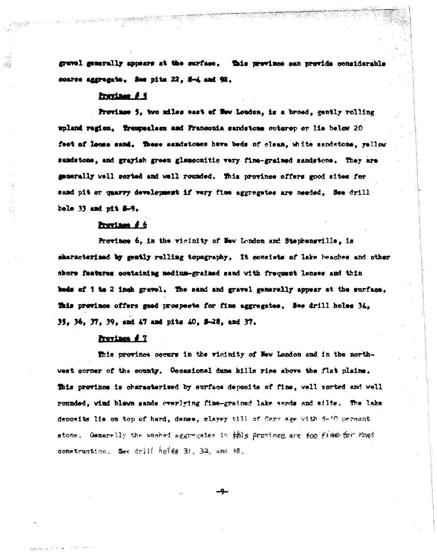gravel generally appears at the surface. This province can provide considerable coarse aggregate. See pits 22, 5-4 and 92.

## Prevince # 5

Province 5, two miles east of Now London, is a broad, gently rolling upland region. Trempealess and Franconia sandstone outerop or lie below 20 feet of loome sand. These sandstones have beds of clean, white sandstone, yellow samdstone, and grayish green glauconitic very fine-grained sandstone. They are generally well serted and well rounded. This province offers good sites for sand pit or quarry development if very fine aggregates are needed. See drill bole 33 and più 8-9.

## Province #6

Province 6, in the vicinity of New London and Stephensville, is characterized by gently rolling topography. It consists of lake beaches and other shore features containing medium-grained sand with frequent lenses and thin beds of 1 to 2 inch gravel. The sand and gravel generally appear at the surface. This province offers good prospects for fine aggregates. See drill holes 34, 35, 36, 37, 39, and 47 and pits 40, 8-28, and 37.

## Province # 7

This province occurs in the vicinity of New London and in the northwest corner of the county. Occasional dune hills rise above the flat plains. This province is characterised by surface deposits of fine, well sorted and well rounded, wind blown sands everlying fine-grained lake sands and silts. The lake deposits lie on top of hard, dense, clayey till of Care age with 5-10 percent stone, Generally the washed aggragates in this province are too fine for road construction. See drill holes 31, 32, and 38.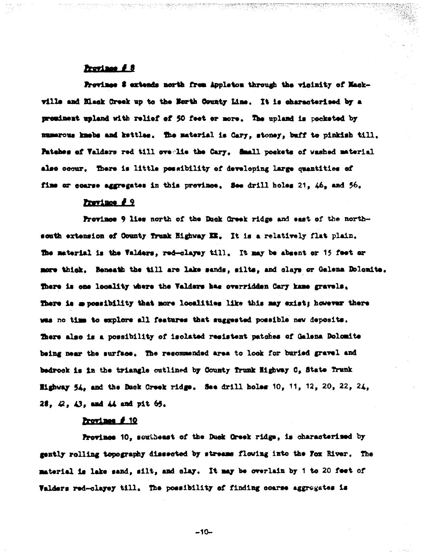## Province *1* 8

Province S extends north from Appleton through the vicinity of Mackville and Hiack Creek up to the North County Line. It is characterised by a prominent upland with relief of 50 feet or more. The upland is pocketed by mumerous knebs and kettles. The material is Cary, stoney, buff to pinkish till. Patches of Valders red till overlie the Cary, Small pockets of washed material also occur. There is little possibility of developing large quantities of fine or coarse aggregates in this province, See drill holes 21, 46, and 56,

## Prevince # 9

Province 9 lies north of the Duck Greek ridge and east of the northsouth extension of County Trunk Highway IX. It is a relatively flat plain. The material is the Valders, red-clayey till. It may be absent or 15 feet or more thick. Beneath the till are lake sands, silts, and clays or Galena Dolomite. There is one locality where the Valders has overridden Cary kame gravels. There is a possibility that more localities like this may exist; however there was no time to explore all features that suggested possible new deposits. There also is a possibility of isolated resistent patches of Galena Dolomite being near the surface. The recommended area to look for buried gravel and bedrook is in the triangle outlined by County Trunk Highway C, State Trunk Highway 54, and the Duck Creek ridge. See drill holes 10, 11, 12, 20, 22, 24. 28,  $\varnothing$ ,  $\varnothing$ , and  $\varnothing$  and pit  $\varnothing$ .

## Province # 10

Province 10, southeast of the Duck Creek ridge, is characterised by gently rolling topography dissected by streams flowing into the Fox River. The material is lake sand, silt, and clay. It may be overlain by i to 20 feet of Valders red-clayey till. The possibility of finding coarse aggregates is

 $-10-$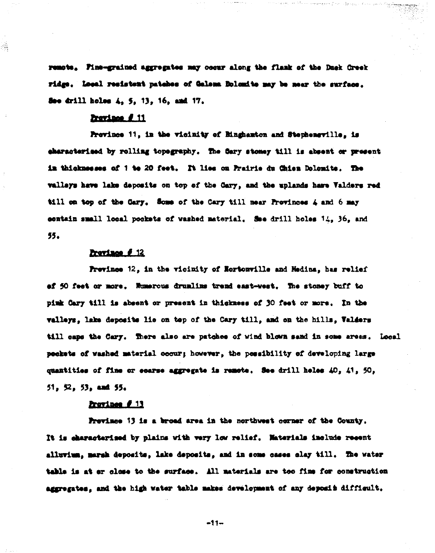remote. Fine-grained aggregates may occur along the flamk of the Duck Greek ridge. Local resistent patches of Galena Bolomite may be near the surface. See drill holes 4, 5, 13, 16, and 17,

#### Province # 11

gi.

Province 11, in the vicinity of Hinghamton and Stepheneville, is characterised by rolling topegraphy. The Sary stoney till is absent or present in thicknesses of 1 to 20 feet. It lies on Prairie du Chien Dolemite. The valleys have lake deposits on top of the Cary, and the uplands have Valders red till on top of the Cary. Some of the Cary till near Provinces 4 and 6 may contain small local pockets of washed material. See drill holes 14, 36, and 55.

#### Province # 12

Province 12. in the vicinity of Mortonville and Medina, has relief of 50 feet or more. Numerous drumlins trend east-west. The stoney buff to pink Cary till is absent or present in thickness of 30 feet or more. In the valleys, lake deposite lie on top of the Cary till, and on the hills, Valders till caps the Cary. There also are patches of wind blown sand in some areas. Local pockets of washed material occur; however, the possibility of developing large quantities of fine or ecarse aggregate is remote. See drill heles 40, 41, 50,  $51.52.53.$  and  $55.$ 

## Prevince # 13

Province 13 is a broad area in the northwest corner of the County. It is characterised by plains with very low relief. Materials include recent alluvium, margh deposits, lake deposits, and in some cases clay till. The water table is at or close to the surface. All materials are too fine for construction aggregates, and the high water table makes development of any deposit difficult.

 $-11-$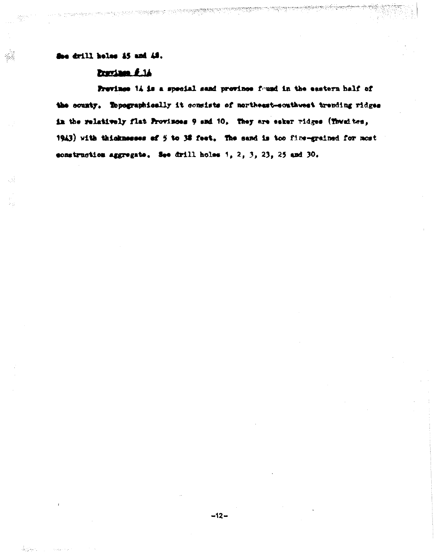See drill heles \$5 and 48.

. Al

## Province # 14

en personal mension y din mension para

Prevince 14 is a special sand province found in the eastern half of the county. Topographically it consists of northeast-southwest trending ridges in the relatively flat Provinces 9 and 10, They are esker ridges (Townites, 1943) with thicknesses of 5 to 38 feet. The sand is too fine-grained for most construction aggregate. See drill holes 1, 2, 3, 23, 25 and 30.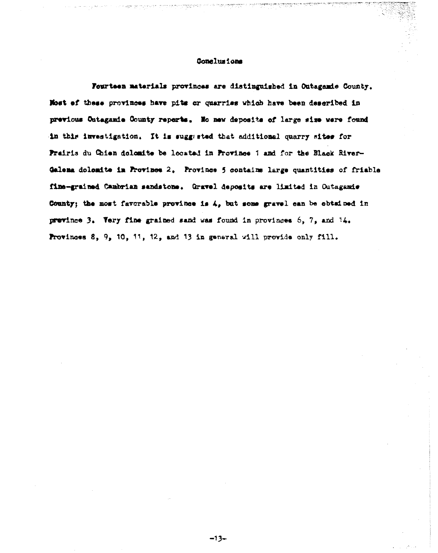## Conclusions

Fourteen materials provinces are distinguished in Outagamie County. Most of these provinces have pits or quarries which have been described in previous Ontagamie County reperts. Ho new deposits of large size were found in this investigation. It is suggested that additional quarry sites for Prairis du Chien dolomite be located in Province 1 and for the Black River-Galema dolomite in Province 2. Province 5 contains large quantities of friable fine-grained Cambrian sandstone. Gravel deposits are limited in Outagamie County; the most favorable province is 4, but some gravel can be obtained in prevince 3. Very fine grained sand was found in provinces 6, 7, and 14. Provinces 8, 9, 10, 11, 12, and 13 in general will provide only fill.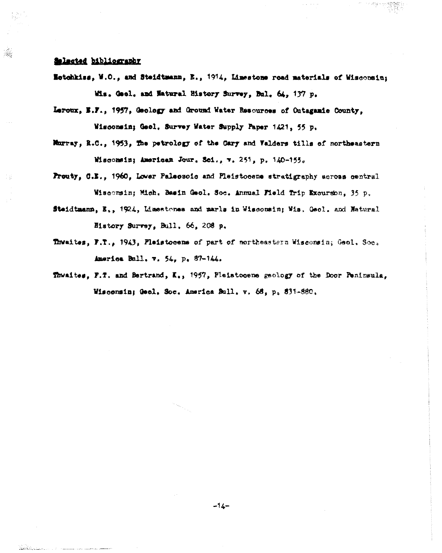## Salacted bibliography

- Estehkiss, W.O., and Steidtmann, E., 1914, Limestone read materials of Wisconsin; Wis. Gool. and Matural History Survey, Bul. 64, 137 p.
- Leroux, E.F., 1957, Geology and Ground Water Resources of Outagamie County, Wisconsin; Geol. Survey Water Supply Paper 1421, 55 p.
- Murray, R.C., 1953, The petrology of the Cary and Valders tills of northeastern Wisconsin; American Jour. Sci., v. 251, p. 140-155.
- Prouty, C.E., 1960, Lower Paleosoic and Pleistocene stratigraphy across central Wisconsin; Mich. Basin Geol. Soc. Annual Field Trip Excursion, 35 p.
- Steidtmann, E., 1924, Limestones and marls in Wisconsin; Wis. Geol. and Natural History Survey, Bull. 66, 208 p.
- Thwaites, F.T., 1943, Pleistocene of part of northeastern Wisconsin; Geol. Soc. America Bull. v. 54, p. 87-144.
- Thwaites, F.T. and Bertrand, K., 1957, Pleistocene geology of the Door Peninsula, Wiscensin; Geol. Soc. America Bull. v. 68, p. 831-880.

 $-14-$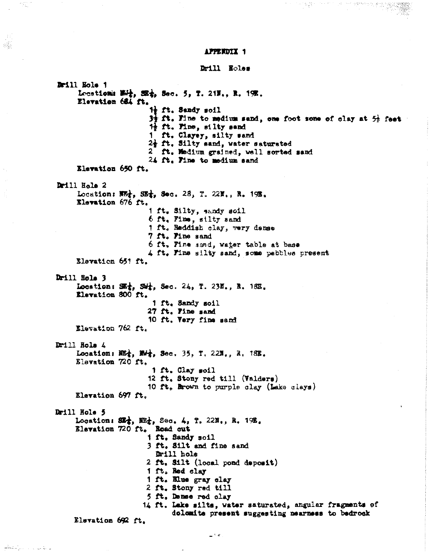APPERDIX 1

alis

المتوافق والمراوي والمتحكم

Drill Holes

Brill Hole 1 Locations Wit, SEt, Sec. 5, T. 21N., R. 19E. Elevation 684 ft.  $\frac{11}{2}$  ft. Sandy soil  $3\frac{1}{2}$  ft. Fine to medium sand, one foot some of clay at  $5\frac{1}{2}$  feet 1} ft. Pine, silty sand 1 ft. Clayey, silty sand 2} ft. Silty sand, water saturated 2 ft. Medium grained, well sorted sand 24 ft. Fine to medium sand Elevation 650 ft. Drill Hole 2 Location: W2, SE4, Sec. 28, T. 22N., R. 19R. Elevation 676 ft. 1 ft. Silty, sandy soil 6 ft. Fine, silty sand 1 ft. Reddish clay, very dense 7 ft. Pine sand 6 ft, Fine sand, water table at base 4 ft. Fine silty sand, some pebbles present Elevation 651 ft. Drill Hole 3 Location: SEt, Set, Sec. 24, T. 23E., R. 18E. Elevation 800 ft. 1 ft. Sandy soil 27 ft. Fine sand 10 ft. Very fine sand Elevation 762 ft. Drill Hole 4 Location:  $\mathbb{E}\left\{t, \ \mathbb{N}\right\}$ , Sec. 35, T. 22N., R. 18E. Elevation 720 ft. 1 ft. Clay soil 12 ft. Stony red till (Valders) 10 ft, Brown to purple clay (Lake clays) Elevation 697 ft. Drill Hole 5 Location: SE<sup>2</sup>, E2<sup>2</sup>, Sec. 4, T. 22N., R. 19E. Elevation 720 ft. Road out ift, Sandy soil 3 ft. Silt and fine sand Drill hole 2 ft. Silt (local pond deposit) 1 ft. Red clay 1 ft. Elue gray clay  $2$  ft. Stony red till 5 ft. Dense red clay 14 ft. Lake silts, water saturated, angular fragments of dolomite present suggesting nearness to bedrock Elevation 692 ft.

 $\omega_{\rm c}$  ,  $\omega$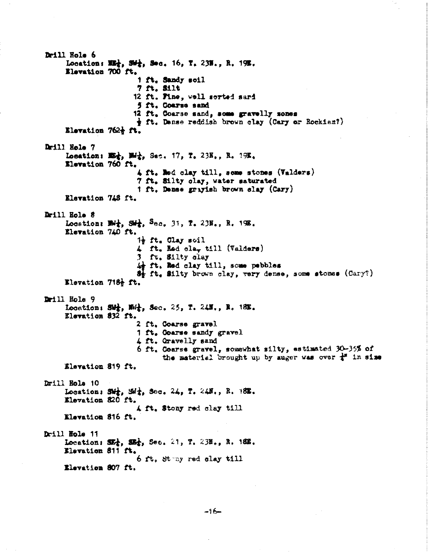Drill Hole 6 Location: E2, SM;, Sec. 16, T. 23H., R. 19E. Elevation 700 ft. 1 ft. Sandy soil 7 ft. Silt 12 ft. Pine, well serted sard 5 ft. Coarse sand 12 ft. Coarse sand, some gravelly mones  $\frac{1}{2}$  ft. Dense reddish brown clay (Cary or Rockian?) Elevation 762% ft. Drill Hole 7 Location: E2, Md, Sec. 17, T. 23N., R. 19R. Elevation 760 ft. 4 ft. Med clay till. some stones (Valders) 7 ft. Silty clay, water saturated 1 ft, Dense grayish brown slay (Cary) Elevation 748 ft. Drill Hole 8 Location: Big, Sig, Sec. 31, T. 23N., R. 198. Elevation 740 ft. 1} ft. Clay soil 4 ft. Red cla. till (Valders) 3 ft. Silty clay in ft. Red clay till, some pubbles 8} ft. Silty brown clay, very dense, some stones (Cary?) Elevation 718% ft. Drill Hole 9 Location: 502, No2, Sec. 25, T. 24N., R. 18N. Elevation 832 ft. 2 ft. Coarse gravel 1 ft. Goarse sandy gravel 4 ft. Gravelly sand 6 ft. Coarse gravel, somewhat silty, estimated 30-35% of the material brought up by suger was over  $\frac{1}{k}$  in size Elevation 819 ft. Drill Hole 10 Location: Shi, Shi, Sec. 24, T. 24N., R. 18E. Elevation 820 ft. 4 ft. Stony red clay till Elevation 816 ft. Drill Hole 11 Location: SE<sub>4</sub>, SE<sub>4</sub>, Sec. 21, T. 23H., R. 16H. Elevation 811 ft. 6 ft. Stany red clay till Elevation 807 ft.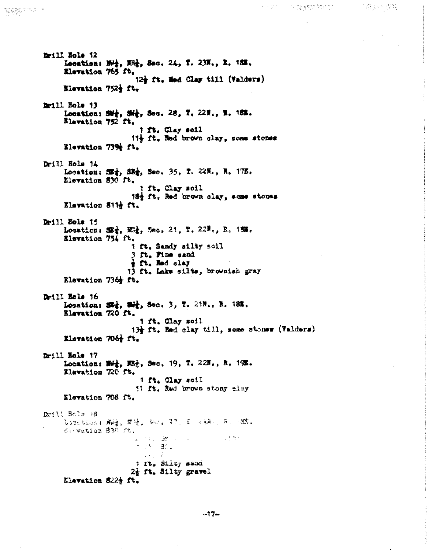Drill Nole 12 Location: N+2, N+2, Sec. 24, T. 23N., R. 18N. Elevation 765 ft. 12% ft. Red Clay till (Valders) Elevation 752} ft. Drill Hole 13 Location: SM2, SM2, Sec. 28, T. 22N., R. 16%. Blavation 752 ft. 1 ft. Clay soil 11} ft. Red brown clay, some stones Elevation 739% ft. Drill Hole 14 Location: SE<sup>1</sup>, SE<sup>1</sup>, Sec. 35, T. 22N., R. 17E. Elevation 830 ft. 1 ft. Clay soil 184 ft. Red brown clay, some stones Elevation 8112 ft. Drill Hole 15 Location: SE<sup>1</sup>, No<sup>1</sup>, Sec. 21, T. 22No. R. 15%. Elevation 754 ft. 1 ft. Sandy silty soil 3 ft. Fine sand *i*ft. Red clay 13 ft. Lake silts, brownish gray Elevation 736 ft. Drill Hole 16 Location; SEA, Sec. 3, T. 21H., H. 18H. Elevation 720 ft.  $1$   $\mathbf{f}$ . Clay soil 13} ft. Red clay till, some stonew (Valders) Elevation 706g ft. Drill Hole 17 Location: Wit, Mb, Sec. 19, T. 22N., R. 195. Elevation 720 ft. 1 ft. Clay soil 11 ft. Red brown stony clay Elevation 708 ft. Dwill Holm 18 LOCK CLOSE 腳邊。節優。 Selly 77. 『 《編集》 17. 18%。 di vation 396 /t.  $\sim 1.5$  . 第10年に (5) (19) (19) (19) (19)  $T = 250 - 30000$ 1 It. Silty samd 2} ft. Silty gravel

广培员研修管

トラストラール 陰険階級を持ったかした。

Elevation 822}  $f$ t.

"哈顿呢?""不了?"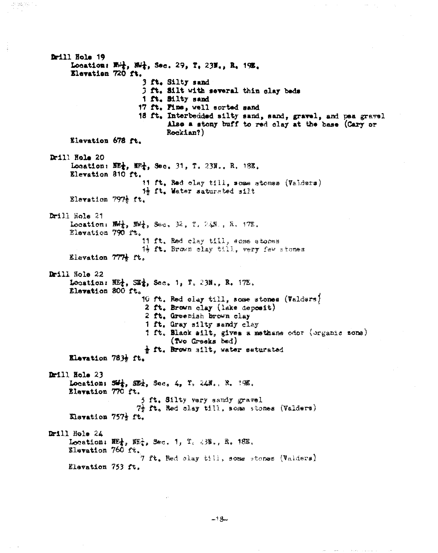Drill Holm 19 Location: Not, Not, Sec. 29, T. 23N., R. 19E. Elevation 720 ft. 3 ft. Silty sand 3 ft. Silt with several thin clay beds 1 ft. Silty sand 17 ft, Pine, well sorted sand 18 ft. Interbedded silty sand, sand, gravel, and pea gravel Also a stony buff to red clay at the base (Cary or Rockian?) Elevation 678 ft. Drill Hole 20 Location: EE;, EF;, Sec. 31, T. 23N., R. 18E. Elevation 810 ft. 11 ft, Red clay till, some stones (Valders) 14 ft. Water saturated silt Elevation 7974 ft. Drill Nole 21 Location:  $\mathbb{R}$ ,  $\mathbb{R}$ , Sec.  $\mathcal{V}$ ,  $\mathcal{V}$ ,  $\mathbb{R}$ ,  $\mathbb{R}$ ,  $\mathbb{R}$ ,  $\mathbb{R}$ , Elevation 790 ft. 11 ft, Red clay till, some stones 1} It. Brown clay till, very few stones Elevation 777} ft. Drill Hole 22 Location:  $III_1$ ,  $III_2$ , Sec. 1, T. 23N., R. 17E. Elevation 800 ft. 10 ft. Red clay till, some stones (Valders) 2 ft. Brown clay (lake deposit) 2 ft. Greenish brown clay 1 ft, Gray silty sandy clay 1 ft. Black silt, gives a methane odor (organic zone) (Two Greeks bed) tt. Brown silt, water saturated Elevation 7834 ft. Drill Nols 23 Location:  $54\frac{1}{4}$ ,  $52\frac{1}{4}$ , Sec. 4, T. 24N., R. 390. Elevation 770 ft. 5 ft. Silty very sandy gravel 7} ft, Red clay till, some stones (Valders) Klevation 7572 ft. Drill Hole 24 Location:  $\overline{m}$ ,  $\overline{m}$ , Sec. 1, T. 232., R. 18E. Elevation 760 ft. 7 ft. Bed clay till, some stones (Valders) Elevation 753 ft.

in gayan.

$$
f_{\rm{max}}
$$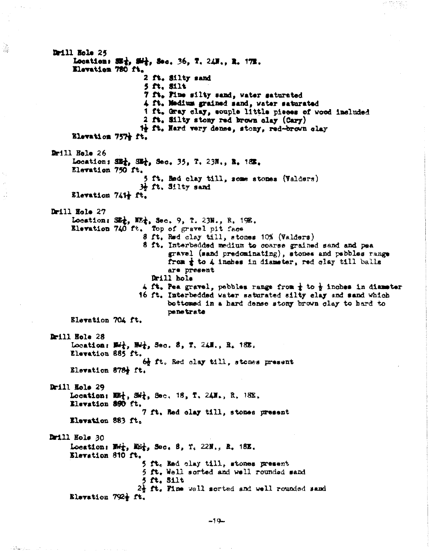Drill Hole 25 Location:  $55\frac{1}{3}$ ,  $5\frac{1}{2}$ , Sec. 36, T. 24H., R. 17H. Elevation 780 ft. 2 ft. Silty sand 5 ft, Silt 7 ft. Pine silty sand, water saturated 4 ft. Medium grained sand, water saturated 1 ft. Gray clay, souple little pieces of wood included 2 ft. Silty stony red brown clay (Cary) 1 ft. Hard very dense, stony, red-brown clay Elevation 757+ ft. Drill Hele 26 Location: SE2, SE2, Sec. 35, T. 23N., R. 18E. Elevation 750 ft. 5 ft. Hed clay till, some stones (Valders)  $H$ ,  $H$ ,  $H$ lty sand Elevation 741+ ft. Drill Hole 27 Location: SE<sub>T</sub>, EE<sub>T</sub>, Sec. 9, T. 23H., R. 19E.<br>Elevation 740 ft. Top of gravel pit face 8 ft, Red clay till, stones 10% (Valders) 8 ft. Interbedded medium to coarse grained sand and pea gravel (sand predominating), stones and pebbles range from  $\pm$  to 4 inches in diameter, red clay till balls are present Drill hole 4 ft. Pea gravel, pebbles range from  $\frac{1}{4}$  to  $\frac{1}{2}$  inches in diameter 16 ft. Interbedded water saturated silty clay and sand which bettemed in a hard dense stony brown glay to hard to penetrate Elevation 704 ft. Drill Hole 28 Location:  $M_{\tau}$ ,  $M_{\tau}$ , Sec. 8, T. 24H., R. 18E. Elevation 885 ft. 6 ft. Red clay till, stones present Elevation 878} ft. Drill Hole 29 Location:  $\mathbb{E}\{\frac{1}{2}, 5\}$ , Sec. 18, T. 24N., R. 18E. Elevation 890 ft. 7 ft. Red clay till, stones present Elevation 883 ft. Drill Hole 30 Location:  $M_{\tau}$ ,  $M_{\tau}$ , Sec. 8, Y. 22H., R. 18E. Elevation 810 ft. 5 ft. Red clay till, stones present 5 ft. Well scrted and well rounded sand  $5$  ft. Silt  $2\frac{1}{3}$  ft. Pine well sorted and well rounded sand Elevation 792} ft.

e).<br>Be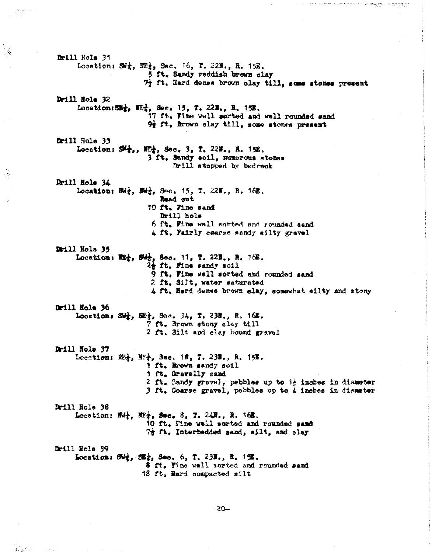Drill Hole 31 Location:  $M_x$ ,  $M_x$ , Sec. 16, T. 22N., R. 15E. 5 ft. Sandy reddish brown clay 7} ft, Hard dense brown clay till, some stones present Drill Nole 32 Location:  $SE_{t}$ ,  $E_{t}$ , Sec. 15, T. 22H., R. 15B. 17 ft. Fine well sorted and well rounded sand 9t ft. Brown clay till, some stones present Drill Hole 33 Location:  $\mathbb{S}^{\mathbb{Z}}$ ,  $\mathbb{E}^{\mathbb{L}}$ , Sec. 3, T. 22H., H. 15E. 3 ft. Sandy soil, mumerous stones Drill stopped by bedrock Drill Hole 34 Location: Ref., Edf., Sec. 15, T. 22N., R. 16E. Read out 10 ft. Fine sand Drill hole 6 ft. Fine well sorted and rounded sand 4 ft. Fairly coarse sandy silty gravel Drill Hola 35 Location: E2, Sit, Sec. 11, T. 22N., R. 16E.  $2\frac{1}{2}$  ft. Fine sandy soil 9 ft. Fine well sorted and rounded sand 2 ft. Silt, water saturated 4 ft, Hard dense brown elay, somewhat silty and stony Drill Hole 36 Location: St., E2}, Sec. 34, T. 23N., R. 16E. 7 ft. Brown stony clay till 2 ft. 3ilt and clay bound gravel Drill Hole 37 Location:  $\mathfrak{W}_1$ ,  $\mathfrak{W}_2$ , Sec. 18, T. 231,, R. 151. 1 ft. Rrown sandy soil 1 ft, Gravelly sand 2 ft. Sandy gravel, pebbles up to the inches in diameter 3 ft. Coarse gravel, pebbles up to 4 inches in dismeter Drill Hole 38 Location:  $\mathbb{R}\rightarrow \mathbb{R}$ ,  $\mathbb{R}$ , Sec. 8, T. 24N., R. 16N. 10 ft, Fine well sorted and rounded sand  $7\frac{1}{2}$  ft, Interbedded sand, silt, and clay Drill Hole 39 Location: 34:, 32:, Sec. 6, T. 233., R. 15. 8 ft. Fine well sorted and rounded sand 18 ft, Hard compacted silt

도둑

i sheagan - it crim

-20-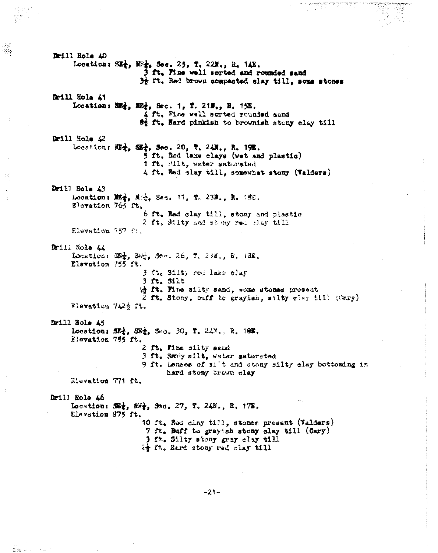Drill Hole AO Location: SE<sub>1</sub>, NE<sub>1</sub>, Sec. 25, T. 22M., R. 14E. 3 ft, Pine well sorted and rounded sand  $3\frac{1}{2}$  ft. Red brown compacted elay till, some stones Drill Hole At Location: E2, E2, Sec. 1, T. 21N., R. 15L. 4 ft. Fine well scrted rounded sand of it. Hard pinkish to brownish stony clay till Drill Hole 42 Location: W., W., Sec. 20, T. 24N., R. 19E. 5 ft, Red lake clays (wet and plastic) 1 ft. Bilt, water saturated 4 ft. Rad clay till, somewhat stony (Valders) Drill Hole 43 Location: E2, M2, Sec. 11, T. 23N., R. 18E. Elevation 765 ft. 6 ft. Red clay till, stony and plastic 2 ft. Silty and simy red clay till Elevation 757 ft. Drill Hole 44 Location: 32, 30%, 3ec. 26, T. 23M., R. 13M. Elevation 755 ft. 3 ft. Silty red lake slay  $3$  ft.  $511t$ ing ft. Fine silty sand, some stones present 2 ft. Stony, buff to grayish, silty elay till (Cary) Elevation 742<sup>h</sup> ft. Drill Nole  $45$ Location: SE<sub>1</sub>, SE<sub>1</sub>, Sec. 30, T. 24N., R. 182. Elevation 765 ft. 2 ft. Fine silty said 3 ft. Swrig silt, water saturated 9 ft. Lenses of si't and stony silty elay bottoming in hard stony brown clay Elevation 771 ft. Drill Hole 46 Location: SE2, M42, Sec. 27, T. 24N., R. 17E. Elevation 375 ft. 10 ft. Red clay till, stones present (Valders) 7 ft. Buff to grayish stony clay till (Cary) 3 ft. Silty stony gray clay till 24 ft. Hard stony red clay till

 $-21-$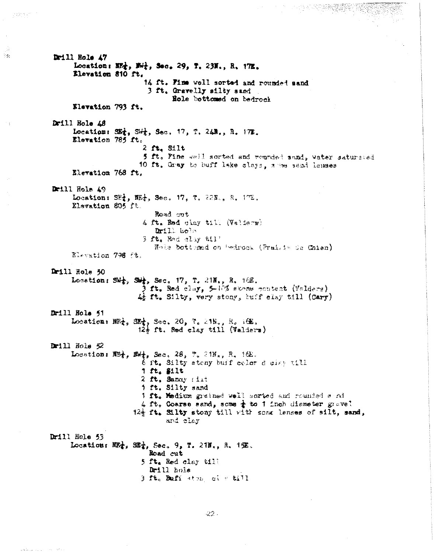Drill Hole 47 Location: NE2, Ne2, Sec. 29, T. 23N., R. 17E. Elevation 810 ft. 14 ft. Fine well sorted and rounded sand 3 ft. Gravelly silty sand Hole bottomed on bedrock Elevation 793 ft. Drill Hole AS Location:  $35\frac{1}{4}$ ,  $5\frac{1}{4}$ ,  $3e$ c,  $17$ ,  $7$ ,  $24$ ,  $R$ ,  $17$ , Elevation 785 ft.  $2$  ft. Silt 5 ft. Fine well sorted and rounded sand, water saturated 10 ft. Gray to buff lake slays, a me sand lenses Elevation 768 ft. Drill Holm 49 Location: SE2, WE2, Sec. 17, T. 22N., R. 17E. Elevation 805 ft. Road out 4 ft. Red clay till (Valiers) Drill kola 3 ft. Red alag till Note bottemed on bedrock (Prairie de Chien) Elevation 796 ft. Drill Hole 50 Location: SW:, SW:, Sec. 17, T. 21N., R. 162. ) ft. Red clay, 5-17% stone content (Valders) 4 It. Silty, very stony, buff elsy till (Cary) Drill Hole 51 Location: MRt, SEt, Sec. 20, T. 21N., R. 16E.  $12\frac{1}{2}$  ft. Red clay till (Valders) Drill Hole 52 Location:  $\mathbb{R}^3$ ,  $\mathbb{R}^4$ , Sec. 28, 7. 21N<sub>a</sub>, R. 16E. 6 it. Silty atomy buif color d circ till 1 ft. Silt 2 ft. Sancy filt i ft. Silty sand 1 ft. Medium grained well sorted and rounded a ni 4 ft, Coarse sand, some  $\frac{1}{4}$  to 1 inch dismeter gravel 12} It. Silty stony till with some lenses of silt, sand, and clay Drill Nole 53 Location:  $RE_7$ ,  $SE_7$ , Sec. 9, T. 21N., R. 19E. Road cut 5 ft. Red clay till Drill hole 3 ft. Buff aton, ci v 8111

is administrativ

 $\mathcal{V}_{\mathcal{A},\mathcal{C}}$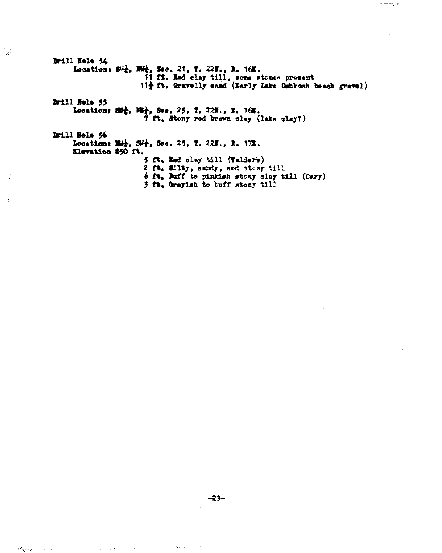Drill Hole 54 Location: 54, Mil, Sec. 21, T. 22M., R. 16E.<br>11 fS. Red clay till, some stones present 11} ft, Gravelly sand (Early Lake Oshkosh beach gravel) Brill Hole 55 Locations Sil, Nil, Sec. 25, 7, 22N., R. 162. 7 ft. Stony red brown clay (lake clay?) Drill Hole 56 Location: Mit, Sit, See. 25, T. 22M., R. 17M. Elevation 850 ft. 5 ft. Red clay till (Valders) 2 ft. Silty, sandy, and stony till 6 ft. Buff to pinkish stony clay till (Cary) 3 ft. Grayish to buff stony till

 $\bigtriangledown_{\mathcal{Q} \times \mathcal{Q} \times \mathcal{M}} \mathcal{Q}_{\mathcal{Q}}(x) \rightarrow \mathcal{Q}$ 

الترابيب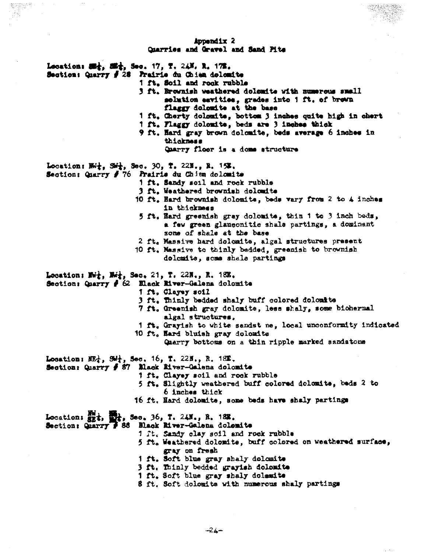#### Appendix 2 Charries and Gravel and Sand Pits

- Lecation: 522, 522, Sec. 17, T. 24N. R. 17E.
- Section: Quarry # 28 Prairie du Chien dolomite
	- 1 ft. Soil and rock rubble
	- 3 ft. Brownish weathered dolomite with numerous small solution esvities, grades into 1 ft, of brown flaggy dolomite at the base
	- 1 ft. Cherty dolomite, bottom 3 inches quite high in chert
	- 1 ft. Flaggy dolomite, beds are 3 inches thick
	- 9 ft. Hard gray brown dolomite, beds average 6 inches in thickness

Charry floor is a dome structure

Location: EW;, SM;, Sec. 30, T. 22N., R. 15%.

Section: Charry # 76 Prairie du Chien dolomite

- 1 ft. Sandy soil and rock rubble
- 3 ft. Weathered brownish dolomite
- 10 ft. Hard brownish dolomite, beds vary from 2 to 4 inches in thickness
- 5 ft, Hard greenish gray dolomite, thin 1 to 3 inch beds, a few green glauconitic shale partings, a dominant some of shale at the base
- 2 ft. Massive hard dolcmite, algal structures present
- 10 ft. Massive to thinly bedded, greenish to brownish dolomite, some shale partings

Location:  $M_{t}$ ,  $M_{t}$ , Sec. 21, T. 22N., R. 18E.

Section: Quarry # 62 Elack Hiver-Galena dolomite

- i ft. Clayey soil
- 3 ft. Thinly bedded shaly buff colored dolomite
- 7 ft, Greenish gray dolomite, less shaly, some biohermal algal structures.
- 1 ft, Grayish to white sandst ne, local unconformity indicated
- 10 ft. Hard bluish gray dolomite
	- Quarry bottoms on a thin ripple marked sandstoms

Location:  $3E_2^1$ ,  $5H_2^1$ , Sec. 16, T. 22N., R. 18E.

Section: Quarry # 87 Black River-Galena dolomite

- 1 ft. Clayey soil and rock rubble
- 5 ft. Slightly weathered buff colored dolomite, beds 2 to 6 inches thick
- 16 ft. Hard dolomite, some beds have shaly partings

Location: 52t, 52t, Sec. 36, T. 24N., R. 18E.

Section: Quarry # 88 Black River-Galena dolomite

- 1 ft. Sandy clay soil and rock rubble
	- 5 ft. Weathered dolomite, buff colored on weathered surface, gray on fresh
	- 1 ft. Soft blue gray shaly dolomite
	- 3 ft. Thinly bedded grayish dolomits
- 1 ft. Soft blue gray shaly dolemite
- 8 ft. Soft dolomits with numerous shaly partings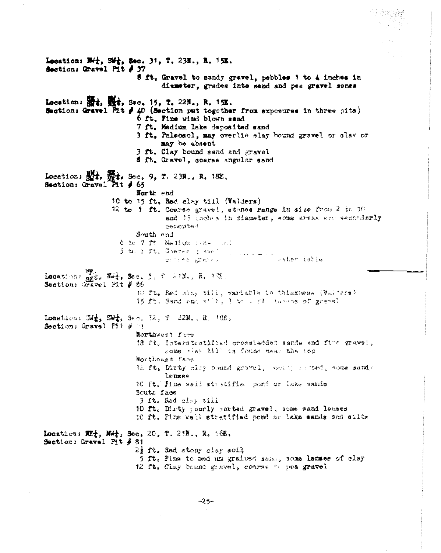Location: W++, SW+, Sec. 31, T. 23N., R. 15K. Section: Gravel Pit # 37 8 ft. Gravel to sandy gravel, pebbles 1 to 4 inches in diameter, grades into sand and pes gravel sones Location: 54, 14, Sec. 15, T. 22N., R. 15E. Section: Gravel Pit # 40 (Section put together from exposures in three pits) 6 ft. Fine wind blown sand 7 ft, Medium lake deposited sand 3 ft. Palsosol, may overlie slay bound gravel or clay or may be absent 3 ft. Clay bound sand and gravel 5 ft. Gravel, coarse angular sand Location:  $\frac{111}{314}$ ,  $\frac{111}{314}$ , Sec. 9, T. 23N., R. 18E.<br>Section: Gravel Pit # 65 North end 10 to 15 ft. Red clay till (Valders) 12 to 1 ft. Coarse gravel, stones range in size from 2 to 10 and 15 inches in diameter, some areas are secondarly cemente? South end 6 to 7 ft. Mettum 1 k+ int 5 to 2 ft. ODerne grave som som in s<mark>ater istie</mark> culture a strame i Locations SEE, Set, Sec. 5, 7, 218., R. 158 Section:  $7.3$ vel Pit  $\beta$  86 tù ft. Red siny till, wariable in thiskwass (Valisce) 15 ft. Sand and x' t; 3 to 1 it leaves of gravel Location:  $\mathbb{Z}/\frac{1}{2}$ ,  $\mathbb{S}/\frac{1}{2}$ , Sec. 32, T. 22N., R. 18E. Section: Gravel Pit # Pi Northwest face 18 ft. Interstratified crosstadded sands and fire gravel. some riav till is found meet the top Mortheazt face W. It. Dirty clay beamd gravel, would seemed, some samdy lensee 10 It. Pine well stratified pond or lake sands South face 3 1t. Hed clay till 10 ft. Dirty poorly sorted gravel, some sand lenses 10 ft. Fine well stratified pond or lake sands and silts Location:  $\mathbb{E}(\frac{1}{4}, \mathbb{N})$ , Sec. 20, T. 21H., R. 16E. Section: Gravel Pit # 81  $2\frac{1}{2}$  ft. Red stony clay soil 5 ft. Fina to mad mm grained same, some lanses of clay 12 ft. Clay bound gravel, coarse to pea gravel

 $-25$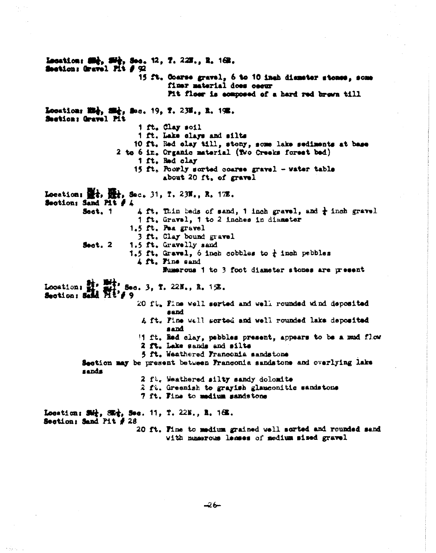Lecation: 22, 22, Sec. 12, 7, 222., 2, 162. Section: Gravel Pit # 92 15 ft. Coarse gravel. 6 to 10 inch dismeter stense, some finer material does cocur Pit floor is composed of a hard red brown till Location: Mil, Sil, Sec. 19, 7. 238., R. 192. Section: Gravel Pit 1 ft. Clay soil 1 ft. Lake clave and silts 10 ft. Red clay till, stony, some lake sediments at base 2 to 6 in. Organic material (Two Creeks forest bed) 1 ft. Red clay 15 ft, Poorly sorted coarse gravel - water table about 20 ft. of gravel Location:  $\mathbb{R}$ ;  $\mathbb{R}$ ; Sec. 31, T. 23N., R. 17E. Section: Sand Pit # A  $\angle$  ft, Thin beds of sand, 1 inch gravel, and  $\frac{1}{4}$  inch gravel Soct. 1 1 ft. Gravel, 1 to 2 inches in diameter 1.5 ft. Pea gravel 3 ft. Clay bound gravel 1.5 ft. Gravelly sand Sect.  $2$ 1.5 ft. Gravel, 6 inch cobbles to  $\frac{1}{k}$  inch pebbles A ft. Fine sand Numerous 1 to 3 foot diameter stones are present Location: 1, 1, 1, 800. 3, T. 22N., R. 1%. Section: Sand Fit's 9 20 ft, Fine well serted and well rounded wind deposited sand A ft. Pine well sorted and well rounded lake deposited sand 11 ft. Eed clay, pebbles present, appears to be a mud flow 2 ft. Lake sands and silts 5 ft. Weathered Franconia sandstone Section may be present between Franconia sandstone and overlying lake sands 2 ft. Weathered silty sandy dolomite 2 ft. Greenish to grayish glauconitic sandstons 7 ft. Fine to medium sandstone Location:  $50\frac{1}{4}$ ,  $50\frac{1}{4}$ , Sec. 11, T. 22N., R. 16E. Section: Sand Pit  $\neq 28$ 20 ft. Fine to medium grained well sorted and rounded send with numerous lemmes of medium sized gravel

۔۔۔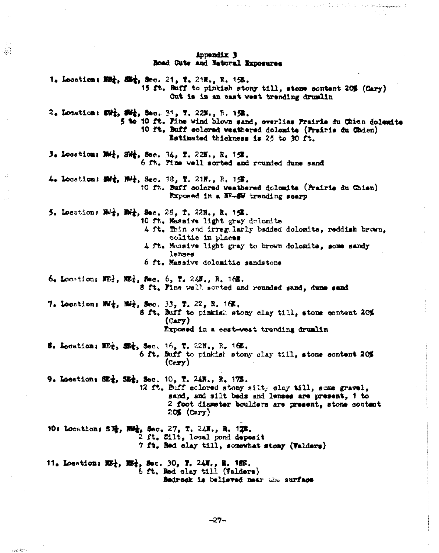#### Appendix 3 Boad Cuts and Natural Exposures

39

a confedência

1. Location: 關金, 歸金, Soc. 21, T. 21H., R. 1%. 15 ft. Buff to pinkish stony till, stone content 20% (Cary) Cut is in an east west trending drumlin 2. Location: Sir, Sir, Sec. 31, T. 22N., R. 152. 5 to 10 ft. Fine wind blown sand, everlies Frairie du Chien dolemite 10 ft, Buff colored weathered dolomite (Prairie du Chden) Estimated thickness is 25 to 30 ft. 3. Location: MHz, SWg, Sec. 34, T. 22N., R. 158. 6 ft. Pine well sorted and rounded dune sand 4. Location: SMt, Not, Sec. 18, T. 21N., R. 15%. 10 ft. Buff colored weathered dolomite (Prairie du Chien) Exposed in a NF-SW trending scarp 5. Location: Bdz, Bdz, Sec. 28, T. 22N., R. 1弦. 10 ft. Messive light gray dolomite 4 ft. Thin and irregularly bedded dolomite, reddish brown, ecaid ai olitico 4 ft. Massive light gray to brown dolomite, some sandy lenses 6 ft. Massive dolomitic sandstone 6. Location:  $\mathbf{E}$ ,  $\mathbf{E}$ ,  $\mathbf{E}$ , sec. 6, T. 24, R. 162. 8 ft. Fine well sorted and rounded sand, dune sand 7. Location:  $M_1$ ,  $M_2$ , Sec. 33, T. 22, R. 16E. 8 ft. Buff to pinkish stony clay till, stone content 20%  $(cary)$ Exposed in a east-west trending drumlin 5. Location: ME;, SE;, Sec. 16, T. 22N., R. 16E. 6 ft. Buff to pinkish stony clay till, stone content 20%  $(**cary**)$ 9. Location: SE<sub>1</sub>, SE<sub>1</sub>, Sec. 10, T. 24N., R. 17E. 12 ft, Buff eclored stony silty clay till, some gravel, sand, and silt beds and lenses are present, i to 2 foot diameter boulders are present, stone content  $20$  (Cery) 10: Location: S章, 丽春, Sec. 27, T. 24M., R. 12M. 2 ft. Silt. local pond deposit 7 ft. Red clay till, somewhat stony (Valders) 11. Location: E2:, E2:, Sec. 30, T. 24N., R. 18E. 6 ft. Red clay till (Valders)

Bedrock is believed near the surface